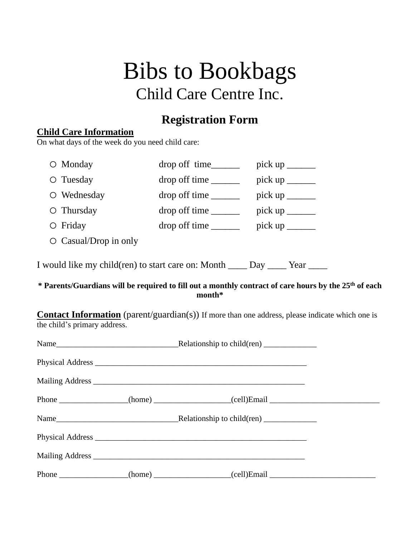# Bibs to Bookbags Child Care Centre Inc.

## **Registration Form**

#### **Child Care Information**

On what days of the week do you need child care:

| $\circ$ Monday                                                             |              |                                                                                                  |  |  |  |  |
|----------------------------------------------------------------------------|--------------|--------------------------------------------------------------------------------------------------|--|--|--|--|
| $\circ$ Tuesday                                                            | drop of time | pick up $\frac{1}{\sqrt{1-\frac{1}{2}}\sqrt{1-\frac{1}{2}}\left(\frac{1}{2}-\frac{1}{2}\right)}$ |  |  |  |  |
| O Wednesday                                                                |              |                                                                                                  |  |  |  |  |
| $\circ$ Thursday                                                           |              | pick up $\frac{1}{\sqrt{1-\frac{1}{2}}\sqrt{1-\frac{1}{2}}\left(\frac{1}{2}-\frac{1}{2}\right)}$ |  |  |  |  |
| $\circ$ Friday                                                             |              | pick up $\frac{1}{\sqrt{1-\frac{1}{2}}\sqrt{1-\frac{1}{2}}\left(\frac{1}{2}-\frac{1}{2}\right)}$ |  |  |  |  |
| $\circ$ Casual/Drop in only                                                |              |                                                                                                  |  |  |  |  |
| I would like my child(ren) to start care on: Month _____ Day _____ Year __ |              |                                                                                                  |  |  |  |  |

#### **\* Parents/Guardians will be required to fill out a monthly contract of care hours by the 25th of each month\***

**Contact Information** (parent/guardian(s)) If more than one address, please indicate which one is the child's primary address.

|  | Phone _______________(home) ________________(cell)Email _________________________ |  |  |  |
|--|-----------------------------------------------------------------------------------|--|--|--|
|  |                                                                                   |  |  |  |
|  |                                                                                   |  |  |  |
|  |                                                                                   |  |  |  |
|  | Phone _______________(home) ________________(cell)Email _________________________ |  |  |  |